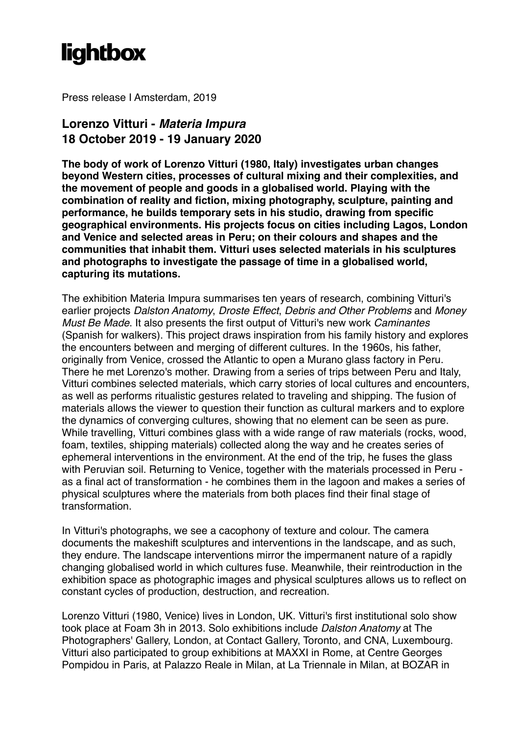## **lightbox**

Press release I Amsterdam, 2019

## **Lorenzo Vitturi -** *Materia Impura* **18 October 2019 - 19 January 2020**

**The body of work of Lorenzo Vitturi (1980, Italy) investigates urban changes beyond Western cities, processes of cultural mixing and their complexities, and the movement of people and goods in a globalised world. Playing with the combination of reality and fiction, mixing photography, sculpture, painting and performance, he builds temporary sets in his studio, drawing from specific geographical environments. His projects focus on cities including Lagos, London and Venice and selected areas in Peru; on their colours and shapes and the communities that inhabit them. Vitturi uses selected materials in his sculptures and photographs to investigate the passage of time in a globalised world, capturing its mutations.**

The exhibition Materia Impura summarises ten years of research, combining Vitturi's earlier projects *Dalston Anatomy*, *Droste Effect*, *Debris and Other Problems* and *Money Must Be Made*. It also presents the first output of Vitturi's new work *Caminantes*  (Spanish for walkers). This project draws inspiration from his family history and explores the encounters between and merging of different cultures. In the 1960s, his father, originally from Venice, crossed the Atlantic to open a Murano glass factory in Peru. There he met Lorenzo's mother. Drawing from a series of trips between Peru and Italy, Vitturi combines selected materials, which carry stories of local cultures and encounters, as well as performs ritualistic gestures related to traveling and shipping. The fusion of materials allows the viewer to question their function as cultural markers and to explore the dynamics of converging cultures, showing that no element can be seen as pure. While travelling, Vitturi combines glass with a wide range of raw materials (rocks, wood, foam, textiles, shipping materials) collected along the way and he creates series of ephemeral interventions in the environment. At the end of the trip, he fuses the glass with Peruvian soil. Returning to Venice, together with the materials processed in Peru as a final act of transformation - he combines them in the lagoon and makes a series of physical sculptures where the materials from both places find their final stage of transformation.

In Vitturi's photographs, we see a cacophony of texture and colour. The camera documents the makeshift sculptures and interventions in the landscape, and as such, they endure. The landscape interventions mirror the impermanent nature of a rapidly changing globalised world in which cultures fuse. Meanwhile, their reintroduction in the exhibition space as photographic images and physical sculptures allows us to reflect on constant cycles of production, destruction, and recreation.

Lorenzo Vitturi (1980, Venice) lives in London, UK. Vitturi's first institutional solo show took place at Foam 3h in 2013. Solo exhibitions include *Dalston Anatomy* at The Photographers' Gallery, London, at Contact Gallery, Toronto, and CNA, Luxembourg. Vitturi also participated to group exhibitions at MAXXI in Rome, at Centre Georges Pompidou in Paris, at Palazzo Reale in Milan, at La Triennale in Milan, at BOZAR in